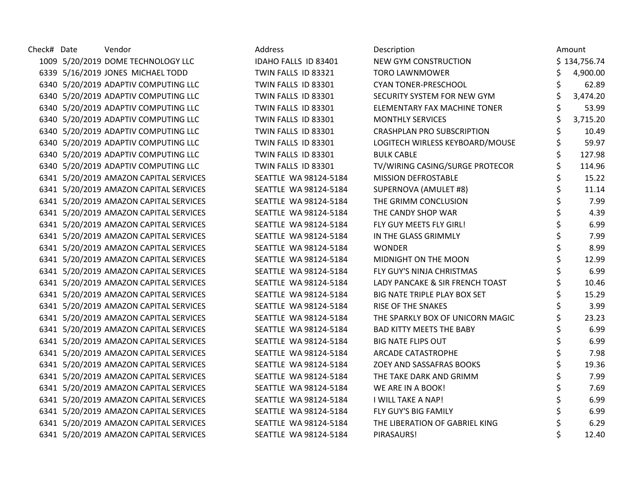| Check# Date | Vendor                                 | Address               | Description                       | Amount         |
|-------------|----------------------------------------|-----------------------|-----------------------------------|----------------|
|             | 1009 5/20/2019 DOME TECHNOLOGY LLC     | IDAHO FALLS ID 83401  | NEW GYM CONSTRUCTION              | \$134,756.74   |
|             | 6339 5/16/2019 JONES MICHAEL TODD      | TWIN FALLS ID 83321   | <b>TORO LAWNMOWER</b>             | 4,900.00       |
|             | 6340 5/20/2019 ADAPTIV COMPUTING LLC   | TWIN FALLS ID 83301   | <b>CYAN TONER-PRESCHOOL</b>       | \$<br>62.89    |
|             | 6340 5/20/2019 ADAPTIV COMPUTING LLC   | TWIN FALLS ID 83301   | SECURITY SYSTEM FOR NEW GYM       | \$<br>3,474.20 |
|             | 6340 5/20/2019 ADAPTIV COMPUTING LLC   | TWIN FALLS ID 83301   | ELEMENTARY FAX MACHINE TONER      | \$<br>53.99    |
|             | 6340 5/20/2019 ADAPTIV COMPUTING LLC   | TWIN FALLS ID 83301   | <b>MONTHLY SERVICES</b>           | 3,715.20       |
|             | 6340 5/20/2019 ADAPTIV COMPUTING LLC   | TWIN FALLS ID 83301   | <b>CRASHPLAN PRO SUBSCRIPTION</b> | 10.49          |
|             | 6340 5/20/2019 ADAPTIV COMPUTING LLC   | TWIN FALLS ID 83301   | LOGITECH WIRLESS KEYBOARD/MOUSE   | 59.97          |
|             | 6340 5/20/2019 ADAPTIV COMPUTING LLC   | TWIN FALLS ID 83301   | <b>BULK CABLE</b>                 | \$<br>127.98   |
|             | 6340 5/20/2019 ADAPTIV COMPUTING LLC   | TWIN FALLS ID 83301   | TV/WIRING CASING/SURGE PROTECOR   | 114.96         |
|             | 6341 5/20/2019 AMAZON CAPITAL SERVICES | SEATTLE WA 98124-5184 | MISSION DEFROSTABLE               | 15.22          |
|             | 6341 5/20/2019 AMAZON CAPITAL SERVICES | SEATTLE WA 98124-5184 | SUPERNOVA (AMULET #8)             | 11.14          |
|             | 6341 5/20/2019 AMAZON CAPITAL SERVICES | SEATTLE WA 98124-5184 | THE GRIMM CONCLUSION              | 7.99           |
|             | 6341 5/20/2019 AMAZON CAPITAL SERVICES | SEATTLE WA 98124-5184 | THE CANDY SHOP WAR                | \$<br>4.39     |
|             | 6341 5/20/2019 AMAZON CAPITAL SERVICES | SEATTLE WA 98124-5184 | FLY GUY MEETS FLY GIRL!           | \$<br>6.99     |
|             | 6341 5/20/2019 AMAZON CAPITAL SERVICES | SEATTLE WA 98124-5184 | IN THE GLASS GRIMMLY              | \$<br>7.99     |
|             | 6341 5/20/2019 AMAZON CAPITAL SERVICES | SEATTLE WA 98124-5184 | <b>WONDER</b>                     | 8.99           |
|             | 6341 5/20/2019 AMAZON CAPITAL SERVICES | SEATTLE WA 98124-5184 | MIDNIGHT ON THE MOON              | 12.99          |
|             | 6341 5/20/2019 AMAZON CAPITAL SERVICES | SEATTLE WA 98124-5184 | FLY GUY'S NINJA CHRISTMAS         | 6.99           |
|             | 6341 5/20/2019 AMAZON CAPITAL SERVICES | SEATTLE WA 98124-5184 | LADY PANCAKE & SIR FRENCH TOAST   | \$<br>10.46    |
|             | 6341 5/20/2019 AMAZON CAPITAL SERVICES | SEATTLE WA 98124-5184 | BIG NATE TRIPLE PLAY BOX SET      | \$<br>15.29    |
|             | 6341 5/20/2019 AMAZON CAPITAL SERVICES | SEATTLE WA 98124-5184 | <b>RISE OF THE SNAKES</b>         | 3.99           |
|             | 6341 5/20/2019 AMAZON CAPITAL SERVICES | SEATTLE WA 98124-5184 | THE SPARKLY BOX OF UNICORN MAGIC  | 23.23          |
|             | 6341 5/20/2019 AMAZON CAPITAL SERVICES | SEATTLE WA 98124-5184 | <b>BAD KITTY MEETS THE BABY</b>   | 6.99           |
|             | 6341 5/20/2019 AMAZON CAPITAL SERVICES | SEATTLE WA 98124-5184 | <b>BIG NATE FLIPS OUT</b>         | \$<br>6.99     |
|             | 6341 5/20/2019 AMAZON CAPITAL SERVICES | SEATTLE WA 98124-5184 | <b>ARCADE CATASTROPHE</b>         | \$<br>7.98     |
|             | 6341 5/20/2019 AMAZON CAPITAL SERVICES | SEATTLE WA 98124-5184 | ZOEY AND SASSAFRAS BOOKS          | \$<br>19.36    |
|             | 6341 5/20/2019 AMAZON CAPITAL SERVICES | SEATTLE WA 98124-5184 | THE TAKE DARK AND GRIMM           | 7.99           |
|             | 6341 5/20/2019 AMAZON CAPITAL SERVICES | SEATTLE WA 98124-5184 | WE ARE IN A BOOK!                 | \$<br>7.69     |
|             | 6341 5/20/2019 AMAZON CAPITAL SERVICES | SEATTLE WA 98124-5184 | I WILL TAKE A NAP!                | \$<br>6.99     |
|             | 6341 5/20/2019 AMAZON CAPITAL SERVICES | SEATTLE WA 98124-5184 | FLY GUY'S BIG FAMILY              | \$<br>6.99     |
|             | 6341 5/20/2019 AMAZON CAPITAL SERVICES | SEATTLE WA 98124-5184 | THE LIBERATION OF GABRIEL KING    | 6.29           |
|             | 6341 5/20/2019 AMAZON CAPITAL SERVICES | SEATTLE WA 98124-5184 | PIRASAURS!                        | 12.40          |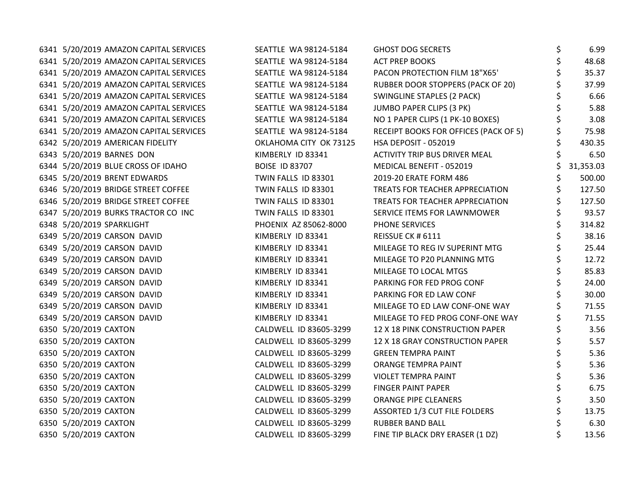|  | 6341 5/20/2019 AMAZON CAPITAL SERVICES | SEATTLE WA 98124-5184  | <b>GHOST DOG SECRETS</b>                 | \$<br>6.99      |
|--|----------------------------------------|------------------------|------------------------------------------|-----------------|
|  | 6341 5/20/2019 AMAZON CAPITAL SERVICES | SEATTLE WA 98124-5184  | <b>ACT PREP BOOKS</b>                    | \$<br>48.68     |
|  | 6341 5/20/2019 AMAZON CAPITAL SERVICES | SEATTLE WA 98124-5184  | PACON PROTECTION FILM 18"X65"            | \$<br>35.37     |
|  | 6341 5/20/2019 AMAZON CAPITAL SERVICES | SEATTLE WA 98124-5184  | <b>RUBBER DOOR STOPPERS (PACK OF 20)</b> | 37.99           |
|  | 6341 5/20/2019 AMAZON CAPITAL SERVICES | SEATTLE WA 98124-5184  | <b>SWINGLINE STAPLES (2 PACK)</b>        | 6.66            |
|  | 6341 5/20/2019 AMAZON CAPITAL SERVICES | SEATTLE WA 98124-5184  | JUMBO PAPER CLIPS (3 PK)                 | \$<br>5.88      |
|  | 6341 5/20/2019 AMAZON CAPITAL SERVICES | SEATTLE WA 98124-5184  | NO 1 PAPER CLIPS (1 PK-10 BOXES)         | 3.08            |
|  | 6341 5/20/2019 AMAZON CAPITAL SERVICES | SEATTLE WA 98124-5184  | RECEIPT BOOKS FOR OFFICES (PACK OF 5)    | 75.98           |
|  | 6342 5/20/2019 AMERICAN FIDELITY       | OKLAHOMA CITY OK 73125 | HSA DEPOSIT - 052019                     | \$<br>430.35    |
|  | 6343 5/20/2019 BARNES DON              | KIMBERLY ID 83341      | <b>ACTIVITY TRIP BUS DRIVER MEAL</b>     | 6.50            |
|  | 6344 5/20/2019 BLUE CROSS OF IDAHO     | <b>BOISE ID 83707</b>  | MEDICAL BENEFIT - 052019                 | \$<br>31,353.03 |
|  | 6345 5/20/2019 BRENT EDWARDS           | TWIN FALLS ID 83301    | 2019-20 ERATE FORM 486                   | \$<br>500.00    |
|  | 6346 5/20/2019 BRIDGE STREET COFFEE    | TWIN FALLS ID 83301    | TREATS FOR TEACHER APPRECIATION          | \$<br>127.50    |
|  | 6346 5/20/2019 BRIDGE STREET COFFEE    | TWIN FALLS ID 83301    | TREATS FOR TEACHER APPRECIATION          | \$<br>127.50    |
|  | 6347 5/20/2019 BURKS TRACTOR CO INC    | TWIN FALLS ID 83301    | SERVICE ITEMS FOR LAWNMOWER              | 93.57           |
|  | 6348 5/20/2019 SPARKLIGHT              | PHOENIX AZ 85062-8000  | PHONE SERVICES                           | \$<br>314.82    |
|  | 6349 5/20/2019 CARSON DAVID            | KIMBERLY ID 83341      | REISSUE CK # 6111                        | \$<br>38.16     |
|  | 6349 5/20/2019 CARSON DAVID            | KIMBERLY ID 83341      | MILEAGE TO REG IV SUPERINT MTG           | \$<br>25.44     |
|  | 6349 5/20/2019 CARSON DAVID            | KIMBERLY ID 83341      | MILEAGE TO P20 PLANNING MTG              | \$<br>12.72     |
|  | 6349 5/20/2019 CARSON DAVID            | KIMBERLY ID 83341      | MILEAGE TO LOCAL MTGS                    | \$<br>85.83     |
|  | 6349 5/20/2019 CARSON DAVID            | KIMBERLY ID 83341      | PARKING FOR FED PROG CONF                | \$<br>24.00     |
|  | 6349 5/20/2019 CARSON DAVID            | KIMBERLY ID 83341      | PARKING FOR ED LAW CONF                  | \$<br>30.00     |
|  | 6349 5/20/2019 CARSON DAVID            | KIMBERLY ID 83341      | MILEAGE TO ED LAW CONF-ONE WAY           | \$<br>71.55     |
|  | 6349 5/20/2019 CARSON DAVID            | KIMBERLY ID 83341      | MILEAGE TO FED PROG CONF-ONE WAY         | \$<br>71.55     |
|  | 6350 5/20/2019 CAXTON                  | CALDWELL ID 83605-3299 | 12 X 18 PINK CONSTRUCTION PAPER          | \$<br>3.56      |
|  | 6350 5/20/2019 CAXTON                  | CALDWELL ID 83605-3299 | 12 X 18 GRAY CONSTRUCTION PAPER          | 5.57            |
|  | 6350 5/20/2019 CAXTON                  | CALDWELL ID 83605-3299 | <b>GREEN TEMPRA PAINT</b>                | \$<br>5.36      |
|  | 6350 5/20/2019 CAXTON                  | CALDWELL ID 83605-3299 | ORANGE TEMPRA PAINT                      | \$<br>5.36      |
|  | 6350 5/20/2019 CAXTON                  | CALDWELL ID 83605-3299 | VIOLET TEMPRA PAINT                      | \$<br>5.36      |
|  | 6350 5/20/2019 CAXTON                  | CALDWELL ID 83605-3299 | <b>FINGER PAINT PAPER</b>                | \$<br>6.75      |
|  | 6350 5/20/2019 CAXTON                  | CALDWELL ID 83605-3299 | ORANGE PIPE CLEANERS                     | \$<br>3.50      |
|  | 6350 5/20/2019 CAXTON                  | CALDWELL ID 83605-3299 | ASSORTED 1/3 CUT FILE FOLDERS            | \$<br>13.75     |
|  | 6350 5/20/2019 CAXTON                  | CALDWELL ID 83605-3299 | <b>RUBBER BAND BALL</b>                  | 6.30            |
|  | 6350 5/20/2019 CAXTON                  | CALDWELL ID 83605-3299 | FINE TIP BLACK DRY ERASER (1 DZ)         | \$<br>13.56     |
|  |                                        |                        |                                          |                 |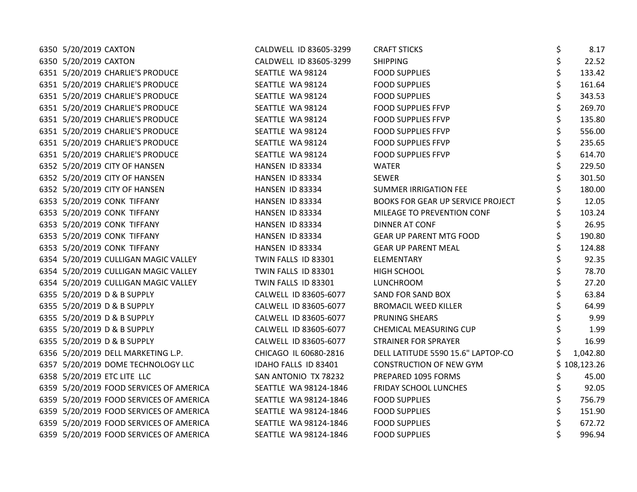| 6350 5/20/2019 CAXTON                   | CALDWELL ID 83605-3299 | <b>CRAFT STICKS</b>                | \$<br>8.17   |
|-----------------------------------------|------------------------|------------------------------------|--------------|
| 6350 5/20/2019 CAXTON                   | CALDWELL ID 83605-3299 | <b>SHIPPING</b>                    | \$<br>22.52  |
| 6351 5/20/2019 CHARLIE'S PRODUCE        | SEATTLE WA 98124       | <b>FOOD SUPPLIES</b>               | 133.42       |
| 6351 5/20/2019 CHARLIE'S PRODUCE        | SEATTLE WA 98124       | <b>FOOD SUPPLIES</b>               | 161.64       |
| 6351 5/20/2019 CHARLIE'S PRODUCE        | SEATTLE WA 98124       | <b>FOOD SUPPLIES</b>               | 343.53       |
| 6351 5/20/2019 CHARLIE'S PRODUCE        | SEATTLE WA 98124       | FOOD SUPPLIES FFVP                 | 269.70       |
| 6351 5/20/2019 CHARLIE'S PRODUCE        | SEATTLE WA 98124       | <b>FOOD SUPPLIES FFVP</b>          | 135.80       |
| 6351 5/20/2019 CHARLIE'S PRODUCE        | SEATTLE WA 98124       | <b>FOOD SUPPLIES FFVP</b>          | 556.00       |
| 6351 5/20/2019 CHARLIE'S PRODUCE        | SEATTLE WA 98124       | <b>FOOD SUPPLIES FFVP</b>          | 235.65       |
| 6351 5/20/2019 CHARLIE'S PRODUCE        | SEATTLE WA 98124       | <b>FOOD SUPPLIES FFVP</b>          | 614.70       |
| 6352 5/20/2019 CITY OF HANSEN           | HANSEN ID 83334        | <b>WATER</b>                       | 229.50       |
| 6352 5/20/2019 CITY OF HANSEN           | HANSEN ID 83334        | <b>SEWER</b>                       | 301.50       |
| 6352 5/20/2019 CITY OF HANSEN           | HANSEN ID 83334        | <b>SUMMER IRRIGATION FEE</b>       | 180.00       |
| 6353 5/20/2019 CONK TIFFANY             | HANSEN ID 83334        | BOOKS FOR GEAR UP SERVICE PROJECT  | 12.05        |
| 6353 5/20/2019 CONK TIFFANY             | HANSEN ID 83334        | MILEAGE TO PREVENTION CONF         | 103.24       |
| 6353 5/20/2019 CONK TIFFANY             | HANSEN ID 83334        | DINNER AT CONF                     | 26.95        |
| 6353 5/20/2019 CONK TIFFANY             | HANSEN ID 83334        | <b>GEAR UP PARENT MTG FOOD</b>     | 190.80       |
| 6353 5/20/2019 CONK TIFFANY             | HANSEN ID 83334        | <b>GEAR UP PARENT MEAL</b>         | 124.88       |
| 6354 5/20/2019 CULLIGAN MAGIC VALLEY    | TWIN FALLS ID 83301    | ELEMENTARY                         | 92.35        |
| 6354 5/20/2019 CULLIGAN MAGIC VALLEY    | TWIN FALLS ID 83301    | HIGH SCHOOL                        | \$<br>78.70  |
| 6354 5/20/2019 CULLIGAN MAGIC VALLEY    | TWIN FALLS ID 83301    | LUNCHROOM                          | 27.20        |
| 6355 5/20/2019 D & B SUPPLY             | CALWELL ID 83605-6077  | SAND FOR SAND BOX                  | 63.84        |
| 6355 5/20/2019 D & B SUPPLY             | CALWELL ID 83605-6077  | <b>BROMACIL WEED KILLER</b>        | 64.99        |
| 6355 5/20/2019 D & B SUPPLY             | CALWELL ID 83605-6077  | PRUNING SHEARS                     | 9.99         |
| 6355 5/20/2019 D & B SUPPLY             | CALWELL ID 83605-6077  | CHEMICAL MEASURING CUP             | 1.99         |
| 6355 5/20/2019 D & B SUPPLY             | CALWELL ID 83605-6077  | <b>STRAINER FOR SPRAYER</b>        | 16.99        |
| 6356 5/20/2019 DELL MARKETING L.P.      | CHICAGO IL 60680-2816  | DELL LATITUDE 5590 15.6" LAPTOP-CO | 1,042.80     |
| 6357 5/20/2019 DOME TECHNOLOGY LLC      | IDAHO FALLS ID 83401   | CONSTRUCTION OF NEW GYM            | \$108,123.26 |
| 6358 5/20/2019 ETC LITE LLC             | SAN ANTONIO TX 78232   | PREPARED 1095 FORMS                | \$<br>45.00  |
| 6359 5/20/2019 FOOD SERVICES OF AMERICA | SEATTLE WA 98124-1846  | FRIDAY SCHOOL LUNCHES              | \$<br>92.05  |
| 6359 5/20/2019 FOOD SERVICES OF AMERICA | SEATTLE WA 98124-1846  | <b>FOOD SUPPLIES</b>               | 756.79       |
| 6359 5/20/2019 FOOD SERVICES OF AMERICA | SEATTLE WA 98124-1846  | <b>FOOD SUPPLIES</b>               | 151.90       |
| 6359 5/20/2019 FOOD SERVICES OF AMERICA | SEATTLE WA 98124-1846  | <b>FOOD SUPPLIES</b>               | 672.72       |
| 6359 5/20/2019 FOOD SERVICES OF AMERICA | SEATTLE WA 98124-1846  | <b>FOOD SUPPLIES</b>               | 996.94       |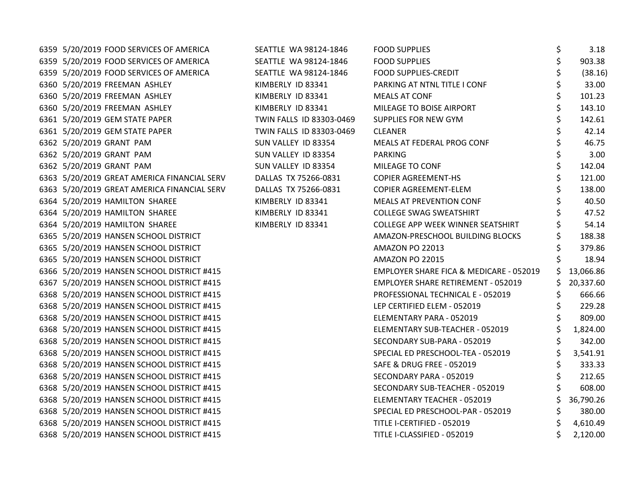| 6359 5/20/2019 FOOD SERVICES OF AMERICA     | SEATTLE WA 98124-1846    | <b>FOOD SUPPLIES</b>                    | \$  | 3.18      |
|---------------------------------------------|--------------------------|-----------------------------------------|-----|-----------|
| 6359 5/20/2019 FOOD SERVICES OF AMERICA     | SEATTLE WA 98124-1846    | <b>FOOD SUPPLIES</b>                    | \$  | 903.38    |
| 6359 5/20/2019 FOOD SERVICES OF AMERICA     | SEATTLE WA 98124-1846    | FOOD SUPPLIES-CREDIT                    |     | (38.16)   |
| 6360 5/20/2019 FREEMAN ASHLEY               | KIMBERLY ID 83341        | PARKING AT NTNL TITLE I CONF            |     | 33.00     |
| 6360 5/20/2019 FREEMAN ASHLEY               | KIMBERLY ID 83341        | <b>MEALS AT CONF</b>                    | \$  | 101.23    |
| 6360 5/20/2019 FREEMAN ASHLEY               | KIMBERLY ID 83341        | MILEAGE TO BOISE AIRPORT                | \$. | 143.10    |
| 6361 5/20/2019 GEM STATE PAPER              | TWIN FALLS ID 83303-0469 | SUPPLIES FOR NEW GYM                    |     | 142.61    |
| 6361 5/20/2019 GEM STATE PAPER              | TWIN FALLS ID 83303-0469 | <b>CLEANER</b>                          |     | 42.14     |
| 6362 5/20/2019 GRANT PAM                    | SUN VALLEY ID 83354      | MEALS AT FEDERAL PROG CONF              |     | 46.75     |
| 6362 5/20/2019 GRANT PAM                    | SUN VALLEY ID 83354      | <b>PARKING</b>                          |     | 3.00      |
| 6362 5/20/2019 GRANT PAM                    | SUN VALLEY ID 83354      | MILEAGE TO CONF                         | \$  | 142.04    |
| 6363 5/20/2019 GREAT AMERICA FINANCIAL SERV | DALLAS TX 75266-0831     | COPIER AGREEMENT-HS                     | \$  | 121.00    |
| 6363 5/20/2019 GREAT AMERICA FINANCIAL SERV | DALLAS TX 75266-0831     | COPIER AGREEMENT-ELEM                   |     | 138.00    |
| 6364 5/20/2019 HAMILTON SHAREE              | KIMBERLY ID 83341        | MEALS AT PREVENTION CONF                |     | 40.50     |
| 6364 5/20/2019 HAMILTON SHAREE              | KIMBERLY ID 83341        | <b>COLLEGE SWAG SWEATSHIRT</b>          |     | 47.52     |
| 6364 5/20/2019 HAMILTON SHAREE              | KIMBERLY ID 83341        | COLLEGE APP WEEK WINNER SEATSHIRT       |     | 54.14     |
| 6365 5/20/2019 HANSEN SCHOOL DISTRICT       |                          | AMAZON-PRESCHOOL BUILDING BLOCKS        |     | 188.38    |
| 6365 5/20/2019 HANSEN SCHOOL DISTRICT       |                          | AMAZON PO 22013                         |     | 379.86    |
| 6365 5/20/2019 HANSEN SCHOOL DISTRICT       |                          | AMAZON PO 22015                         |     | 18.94     |
| 6366 5/20/2019 HANSEN SCHOOL DISTRICT #415  |                          | EMPLOYER SHARE FICA & MEDICARE - 052019 | \$  | 13,066.86 |
| 6367 5/20/2019 HANSEN SCHOOL DISTRICT #415  |                          | EMPLOYER SHARE RETIREMENT - 052019      |     | 20,337.60 |
| 6368 5/20/2019 HANSEN SCHOOL DISTRICT #415  |                          | PROFESSIONAL TECHNICAL E - 052019       |     | 666.66    |
| 6368 5/20/2019 HANSEN SCHOOL DISTRICT #415  |                          | LEP CERTIFIED ELEM - 052019             |     | 229.28    |
| 6368 5/20/2019 HANSEN SCHOOL DISTRICT #415  |                          | ELEMENTARY PARA - 052019                |     | 809.00    |
| 6368 5/20/2019 HANSEN SCHOOL DISTRICT #415  |                          | ELEMENTARY SUB-TEACHER - 052019         |     | 1,824.00  |
| 6368 5/20/2019 HANSEN SCHOOL DISTRICT #415  |                          | SECONDARY SUB-PARA - 052019             | \$  | 342.00    |
| 6368 5/20/2019 HANSEN SCHOOL DISTRICT #415  |                          | SPECIAL ED PRESCHOOL-TEA - 052019       |     | 3,541.91  |
| 6368 5/20/2019 HANSEN SCHOOL DISTRICT #415  |                          | SAFE & DRUG FREE - 052019               | \$  | 333.33    |
| 6368 5/20/2019 HANSEN SCHOOL DISTRICT #415  |                          | SECONDARY PARA - 052019                 |     | 212.65    |
| 6368 5/20/2019 HANSEN SCHOOL DISTRICT #415  |                          | SECONDARY SUB-TEACHER - 052019          | \$. | 608.00    |
| 6368 5/20/2019 HANSEN SCHOOL DISTRICT #415  |                          | ELEMENTARY TEACHER - 052019             | \$  | 36,790.26 |
| 6368 5/20/2019 HANSEN SCHOOL DISTRICT #415  |                          | SPECIAL ED PRESCHOOL-PAR - 052019       |     | 380.00    |
| 6368 5/20/2019 HANSEN SCHOOL DISTRICT #415  |                          | TITLE I-CERTIFIED - 052019              |     | 4,610.49  |
| 6368 5/20/2019 HANSEN SCHOOL DISTRICT #415  |                          | TITLE I-CLASSIFIED - 052019             |     | 2,120.00  |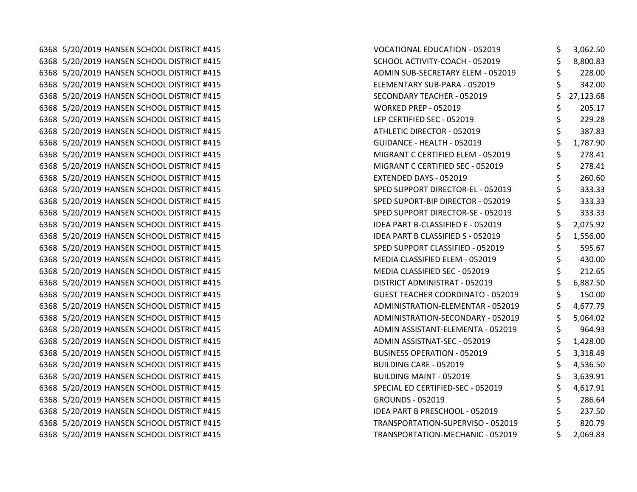6368 5/20/2019 HANSEN SCHOOL DISTRICT #415 6368 5/20/2019 HANSEN SCHOOL DISTRICT #415 6368 5/20/2019 HANSEN SCHOOL DISTRICT #415 6368 5/20/2019 HANSEN SCHOOL DISTRICT #415 6368 5/20/2019 HANSEN SCHOOL DISTRICT #415 6368 5/20/2019 HANSEN SCHOOL DISTRICT #415 6368 5/20/2019 HANSEN SCHOOL DISTRICT #415 6368 5/20/2019 HANSEN SCHOOL DISTRICT #415 6368 5/20/2019 HANSEN SCHOOL DISTRICT #415 6368 5/20/2019 HANSEN SCHOOL DISTRICT #415 6368 5/20/2019 HANSEN SCHOOL DISTRICT #415 6368 5/20/2019 HANSEN SCHOOL DISTRICT #415 6368 5/20/2019 HANSEN SCHOOL DISTRICT #415 6368 5/20/2019 HANSEN SCHOOL DISTRICT #415 6368 5/20/2019 HANSEN SCHOOL DISTRICT #415 6368 5/20/2019 HANSEN SCHOOL DISTRICT #415 6368 5/20/2019 HANSEN SCHOOL DISTRICT #415 6368 5/20/2019 HANSEN SCHOOL DISTRICT #415 6368 5/20/2019 HANSEN SCHOOL DISTRICT #415 6368 5/20/2019 HANSEN SCHOOL DISTRICT #415 6368 5/20/2019 HANSEN SCHOOL DISTRICT #415 6368 5/20/2019 HANSEN SCHOOL DISTRICT #415 6368 5/20/2019 HANSEN SCHOOL DISTRICT #415 6368 5/20/2019 HANSEN SCHOOL DISTRICT #415 6368 5/20/2019 HANSEN SCHOOL DISTRICT #415 6368 5/20/2019 HANSEN SCHOOL DISTRICT #415 6368 5/20/2019 HANSEN SCHOOL DISTRICT #415 6368 5/20/2019 HANSEN SCHOOL DISTRICT #415 6368 5/20/2019 HANSEN SCHOOL DISTRICT #415 6368 5/20/2019 HANSEN SCHOOL DISTRICT #415 6368 5/20/2019 HANSEN SCHOOL DISTRICT #415 6368 5/20/2019 HANSEN SCHOOL DISTRICT #415 6368 5/20/2019 HANSEN SCHOOL DISTRICT #415 6368 5/20/2019 HANSEN SCHOOL DISTRICT #415

| <b>VOCATIONAL EDUCATION - 052019</b>     | \$<br>3,062.50  |
|------------------------------------------|-----------------|
| SCHOOL ACTIVITY-COACH - 052019           | \$<br>8,800.83  |
| ADMIN SUB-SECRETARY ELEM - 052019        | \$<br>228.00    |
| ELEMENTARY SUB-PARA - 052019             | \$<br>342.00    |
| SECONDARY TEACHER - 052019               | \$<br>27,123.68 |
| <b>WORKED PREP - 052019</b>              | \$<br>205.17    |
| LEP CERTIFIED SEC - 052019               | \$<br>229.28    |
| ATHLETIC DIRECTOR - 052019               | \$<br>387.83    |
| GUIDANCE - HEALTH - 052019               | \$<br>1,787.90  |
| MIGRANT C CERTIFIED ELEM - 052019        | \$<br>278.41    |
| MIGRANT C CERTIFIED SEC - 052019         | \$<br>278.41    |
| EXTENDED DAYS - 052019                   | \$<br>260.60    |
| SPED SUPPORT DIRECTOR-EL - 052019        | \$<br>333.33    |
| SPED SUPORT-BIP DIRECTOR - 052019        | \$<br>333.33    |
| SPED SUPPORT DIRECTOR-SE - 052019        | \$<br>333.33    |
| <b>IDEA PART B-CLASSIFIED E - 052019</b> | \$<br>2,075.92  |
| <b>IDEA PART B CLASSIFIED S - 052019</b> | \$<br>1,556.00  |
| SPED SUPPORT CLASSIFIED - 052019         | \$<br>595.67    |
| MEDIA CLASSIFIED ELEM - 052019           | \$<br>430.00    |
| MEDIA CLASSIFIED SEC - 052019            | \$<br>212.65    |
| DISTRICT ADMINISTRAT - 052019            | \$<br>6,887.50  |
| <b>GUEST TEACHER COORDINATO - 052019</b> | \$<br>150.00    |
| ADMINISTRATION-ELEMENTAR - 052019        | \$<br>4,677.79  |
| ADMINISTRATION-SECONDARY - 052019        | \$<br>5,064.02  |
| ADMIN ASSISTANT-ELEMENTA - 052019        | \$<br>964.93    |
| ADMIN ASSISTNAT-SEC - 052019             | \$<br>1,428.00  |
| BUSINESS OPERATION - 052019              | \$<br>3,318.49  |
| BUILDING CARE - 052019                   | \$<br>4,536.50  |
| BUILDING MAINT - 052019                  | \$<br>3,639.91  |
| SPECIAL ED CERTIFIED-SEC - 052019        | \$<br>4,617.91  |
| <b>GROUNDS - 052019</b>                  | \$<br>286.64    |
| <b>IDEA PART B PRESCHOOL - 052019</b>    | \$<br>237.50    |
| TRANSPORTATION-SUPERVISO - 052019        | \$<br>820.79    |
| TRANSPORTATION-MECHANIC - 052019         | \$<br>2,069.83  |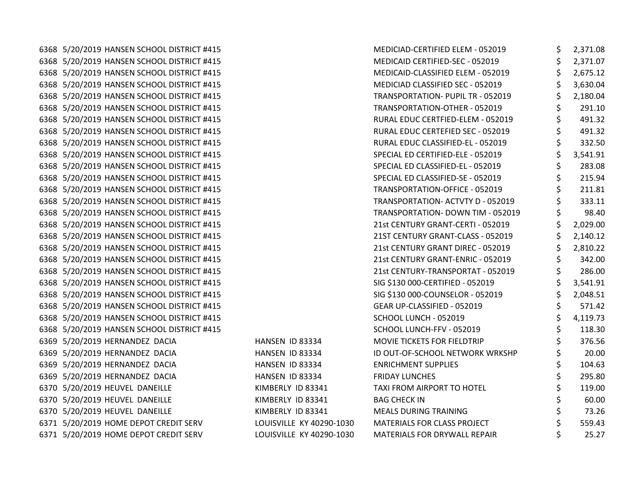6368 5/20/2019 HANSEN SCHOOL DISTRICT #415 6368 5/20/2019 HANSEN SCHOOL DISTRICT #415 6368 5/20/2019 HANSEN SCHOOL DISTRICT #415 6368 5/20/2019 HANSEN SCHOOL DISTRICT #415 6368 5/20/2019 HANSEN SCHOOL DISTRICT #415 6368 5/20/2019 HANSEN SCHOOL DISTRICT #415 6368 5/20/2019 HANSEN SCHOOL DISTRICT #415 6368 5/20/2019 HANSEN SCHOOL DISTRICT #415 6368 5/20/2019 HANSEN SCHOOL DISTRICT #415 6368 5/20/2019 HANSEN SCHOOL DISTRICT #415 6368 5/20/2019 HANSEN SCHOOL DISTRICT #415 6368 5/20/2019 HANSEN SCHOOL DISTRICT #415 6368 5/20/2019 HANSEN SCHOOL DISTRICT #415 6368 5/20/2019 HANSEN SCHOOL DISTRICT #415 6368 5/20/2019 HANSEN SCHOOL DISTRICT #415 6368 5/20/2019 HANSEN SCHOOL DISTRICT #415 6368 5/20/2019 HANSEN SCHOOL DISTRICT #415 6368 5/20/2019 HANSEN SCHOOL DISTRICT #415 6368 5/20/2019 HANSEN SCHOOL DISTRICT #415 6368 5/20/2019 HANSEN SCHOOL DISTRICT #415 6368 5/20/2019 HANSEN SCHOOL DISTRICT #415 6368 5/20/2019 HANSEN SCHOOL DISTRICT #415 6368 5/20/2019 HANSEN SCHOOL DISTRICT #415 6368 5/20/2019 HANSEN SCHOOL DISTRICT #415 6368 5/20/2019 HANSEN SCHOOL DISTRICT #415 6369 5/20/2019 HERNANDEZ DACIA **HANSEN ID 83334** 6369 5/20/2019 HERNANDEZ DACIA **HANSEN ID 83334** 6369 5/20/2019 HERNANDEZ DACIA **HANSEN ID 83334** 6369 5/20/2019 HERNANDEZ DACIA **HANSEN ID 83334** 6370 5/20/2019 HEUVEL DANEILLE KIMBERLY ID 83341 6370 5/20/2019 HEUVEL DANEILLE KIMBERLY ID 83341 6370 5/20/2019 HEUVEL DANEILLE KIMBERLY ID 83341 6371 5/20/2019 HOME DEPOT CREDIT SERV LOUISVILLE KY 40290-1030 6371 5/20/2019 HOME DEPOT CREDIT SERV LOUISVILLE KY 40290-1030

| MEDICIAD-CERTIFIED ELEM - 052019  | \$<br>2,371.08 |
|-----------------------------------|----------------|
| MEDICAID CERTIFIED-SEC - 052019   | \$<br>2,371.07 |
| MEDICAID-CLASSIFIED ELEM - 052019 | \$<br>2,675.12 |
| MEDICIAD CLASSIFIED SEC - 052019  | \$<br>3,630.04 |
| TRANSPORTATION- PUPIL TR - 052019 | \$<br>2,180.04 |
| TRANSPORTATION-OTHER - 052019     | \$<br>291.10   |
| RURAL EDUC CERTFIED-ELEM - 052019 | \$<br>491.32   |
| RURAL EDUC CERTEFIED SEC - 052019 | \$<br>491.32   |
| RURAL EDUC CLASSIFIED-EL - 052019 | \$<br>332.50   |
| SPECIAL ED CERTIFIED-ELE - 052019 | \$<br>3,541.91 |
| SPECIAL ED CLASSIFIED-EL - 052019 | \$<br>283.08   |
| SPECIAL ED CLASSIFIED-SE - 052019 | \$<br>215.94   |
| TRANSPORTATION-OFFICE - 052019    | \$<br>211.81   |
| TRANSPORTATION- ACTVTY D - 052019 | \$<br>333.11   |
| TRANSPORTATION- DOWN TIM - 052019 | \$<br>98.40    |
| 21st CENTURY GRANT-CERTI - 052019 | \$<br>2,029.00 |
| 21ST CENTURY GRANT-CLASS - 052019 | \$<br>2,140.12 |
| 21st CENTURY GRANT DIREC - 052019 | \$<br>2,810.22 |
| 21st CENTURY GRANT-ENRIC - 052019 | \$<br>342.00   |
| 21st CENTURY-TRANSPORTAT - 052019 | \$<br>286.00   |
| SIG \$130 000-CERTIFIED - 052019  | \$<br>3,541.91 |
| SIG \$130 000-COUNSELOR - 052019  | \$<br>2,048.51 |
| GEAR UP-CLASSIFIED - 052019       | \$<br>571.42   |
| SCHOOL LUNCH - 052019             | \$<br>4,119.73 |
| SCHOOL LUNCH-FFV - 052019         | \$<br>118.30   |
| MOVIE TICKETS FOR FIELDTRIP       | \$<br>376.56   |
| ID OUT-OF-SCHOOL NETWORK WRKSHP   | \$<br>20.00    |
| <b>ENRICHMENT SUPPLIES</b>        | \$<br>104.63   |
| <b>FRIDAY LUNCHES</b>             | \$<br>295.80   |
| TAXI FROM AIRPORT TO HOTEL        | \$<br>119.00   |
| <b>BAG CHECK IN</b>               | \$<br>60.00    |
| <b>MEALS DURING TRAINING</b>      | \$<br>73.26    |
| MATERIALS FOR CLASS PROJECT       | \$<br>559.43   |
| MATERIALS FOR DRYWALL REPAIR      | \$<br>25.27    |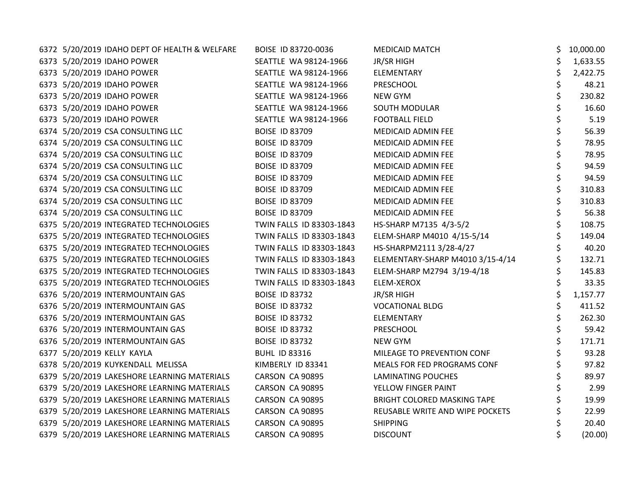| 6372 5/20/2019 IDAHO DEPT OF HEALTH & WELFARE | BOISE ID 83720-0036      | <b>MEDICAID MATCH</b>            | 10,000.00 |
|-----------------------------------------------|--------------------------|----------------------------------|-----------|
| 6373 5/20/2019 IDAHO POWER                    | SEATTLE WA 98124-1966    | <b>JR/SR HIGH</b>                | 1,633.55  |
| 6373 5/20/2019 IDAHO POWER                    | SEATTLE WA 98124-1966    | ELEMENTARY                       | 2,422.75  |
| 6373 5/20/2019 IDAHO POWER                    | SEATTLE WA 98124-1966    | <b>PRESCHOOL</b>                 | 48.21     |
| 6373 5/20/2019 IDAHO POWER                    | SEATTLE WA 98124-1966    | NEW GYM                          | 230.82    |
| 6373 5/20/2019 IDAHO POWER                    | SEATTLE WA 98124-1966    | SOUTH MODULAR                    | 16.60     |
| 6373 5/20/2019 IDAHO POWER                    | SEATTLE WA 98124-1966    | <b>FOOTBALL FIELD</b>            | 5.19      |
| 6374 5/20/2019 CSA CONSULTING LLC             | <b>BOISE ID 83709</b>    | MEDICAID ADMIN FEE               | 56.39     |
| 6374 5/20/2019 CSA CONSULTING LLC             | <b>BOISE ID 83709</b>    | MEDICAID ADMIN FEE               | 78.95     |
| 6374 5/20/2019 CSA CONSULTING LLC             | <b>BOISE ID 83709</b>    | MEDICAID ADMIN FEE               | 78.95     |
| 6374 5/20/2019 CSA CONSULTING LLC             | <b>BOISE ID 83709</b>    | MEDICAID ADMIN FEE               | 94.59     |
| 6374 5/20/2019 CSA CONSULTING LLC             | <b>BOISE ID 83709</b>    | MEDICAID ADMIN FEE               | 94.59     |
| 6374 5/20/2019 CSA CONSULTING LLC             | <b>BOISE ID 83709</b>    | MEDICAID ADMIN FEE               | 310.83    |
| 6374 5/20/2019 CSA CONSULTING LLC             | <b>BOISE ID 83709</b>    | MEDICAID ADMIN FEE               | 310.83    |
| 6374 5/20/2019 CSA CONSULTING LLC             | <b>BOISE ID 83709</b>    | MEDICAID ADMIN FEE               | 56.38     |
| 6375 5/20/2019 INTEGRATED TECHNOLOGIES        | TWIN FALLS ID 83303-1843 | HS-SHARP M7135 4/3-5/2           | 108.75    |
| 6375 5/20/2019 INTEGRATED TECHNOLOGIES        | TWIN FALLS ID 83303-1843 | ELEM-SHARP M4010 4/15-5/14       | 149.04    |
| 6375 5/20/2019 INTEGRATED TECHNOLOGIES        | TWIN FALLS ID 83303-1843 | HS-SHARPM2111 3/28-4/27          | 40.20     |
| 6375 5/20/2019 INTEGRATED TECHNOLOGIES        | TWIN FALLS ID 83303-1843 | ELEMENTARY-SHARP M4010 3/15-4/14 | 132.71    |
| 6375 5/20/2019 INTEGRATED TECHNOLOGIES        | TWIN FALLS ID 83303-1843 | ELEM-SHARP M2794 3/19-4/18       | 145.83    |
| 6375 5/20/2019 INTEGRATED TECHNOLOGIES        | TWIN FALLS ID 83303-1843 | ELEM-XEROX                       | 33.35     |
| 6376 5/20/2019 INTERMOUNTAIN GAS              | <b>BOISE ID 83732</b>    | JR/SR HIGH                       | 1,157.77  |
| 6376 5/20/2019 INTERMOUNTAIN GAS              | <b>BOISE ID 83732</b>    | <b>VOCATIONAL BLDG</b>           | 411.52    |
| 6376 5/20/2019 INTERMOUNTAIN GAS              | <b>BOISE ID 83732</b>    | ELEMENTARY                       | 262.30    |
| 6376 5/20/2019 INTERMOUNTAIN GAS              | <b>BOISE ID 83732</b>    | <b>PRESCHOOL</b>                 | 59.42     |
| 6376 5/20/2019 INTERMOUNTAIN GAS              | <b>BOISE ID 83732</b>    | <b>NEW GYM</b>                   | 171.71    |
| 6377 5/20/2019 KELLY KAYLA                    | <b>BUHL ID 83316</b>     | MILEAGE TO PREVENTION CONF       | 93.28     |
| 6378 5/20/2019 KUYKENDALL MELISSA             | KIMBERLY ID 83341        | MEALS FOR FED PROGRAMS CONF      | 97.82     |
| 6379 5/20/2019 LAKESHORE LEARNING MATERIALS   | CARSON CA 90895          | <b>LAMINATING POUCHES</b>        | 89.97     |
| 6379 5/20/2019 LAKESHORE LEARNING MATERIALS   | CARSON CA 90895          | YELLOW FINGER PAINT              | 2.99      |
| 6379 5/20/2019 LAKESHORE LEARNING MATERIALS   | CARSON CA 90895          | BRIGHT COLORED MASKING TAPE      | 19.99     |
| 6379 5/20/2019 LAKESHORE LEARNING MATERIALS   | CARSON CA 90895          | REUSABLE WRITE AND WIPE POCKETS  | 22.99     |
| 6379 5/20/2019 LAKESHORE LEARNING MATERIALS   | CARSON CA 90895          | <b>SHIPPING</b>                  | 20.40     |
| 6379 5/20/2019 LAKESHORE LEARNING MATERIALS   | CARSON CA 90895          | <b>DISCOUNT</b>                  | (20.00)   |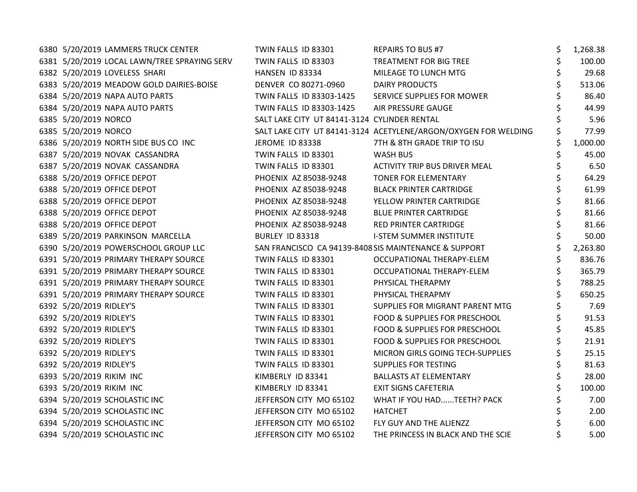| 6380 5/20/2019 LAMMERS TRUCK CENTER          | TWIN FALLS ID 83301                          | <b>REPAIRS TO BUS #7</b>                                        | \$<br>1,268.38 |
|----------------------------------------------|----------------------------------------------|-----------------------------------------------------------------|----------------|
| 6381 5/20/2019 LOCAL LAWN/TREE SPRAYING SERV | TWIN FALLS ID 83303                          | TREATMENT FOR BIG TREE                                          | \$<br>100.00   |
| 6382 5/20/2019 LOVELESS SHARI                | HANSEN ID 83334                              | MILEAGE TO LUNCH MTG                                            | 29.68          |
| 6383 5/20/2019 MEADOW GOLD DAIRIES-BOISE     | DENVER CO 80271-0960                         | <b>DAIRY PRODUCTS</b>                                           | 513.06         |
| 6384 5/20/2019 NAPA AUTO PARTS               | TWIN FALLS ID 83303-1425                     | SERVICE SUPPLIES FOR MOWER                                      | 86.40          |
| 6384 5/20/2019 NAPA AUTO PARTS               | TWIN FALLS ID 83303-1425                     | AIR PRESSURE GAUGE                                              | 44.99          |
| 6385 5/20/2019 NORCO                         | SALT LAKE CITY UT 84141-3124 CYLINDER RENTAL |                                                                 | 5.96           |
| 6385 5/20/2019 NORCO                         |                                              | SALT LAKE CITY UT 84141-3124 ACETYLENE/ARGON/OXYGEN FOR WELDING | 77.99          |
| 6386 5/20/2019 NORTH SIDE BUS CO INC         | JEROME ID 83338                              | 7TH & 8TH GRADE TRIP TO ISU                                     | 1,000.00       |
| 6387 5/20/2019 NOVAK CASSANDRA               | TWIN FALLS ID 83301                          | <b>WASH BUS</b>                                                 | \$<br>45.00    |
| 6387 5/20/2019 NOVAK CASSANDRA               | TWIN FALLS ID 83301                          | ACTIVITY TRIP BUS DRIVER MEAL                                   | \$<br>6.50     |
| 6388 5/20/2019 OFFICE DEPOT                  | PHOENIX AZ 85038-9248                        | TONER FOR ELEMENTARY                                            | \$<br>64.29    |
| 6388 5/20/2019 OFFICE DEPOT                  | PHOENIX AZ 85038-9248                        | <b>BLACK PRINTER CARTRIDGE</b>                                  | 61.99          |
| 6388 5/20/2019 OFFICE DEPOT                  | PHOENIX AZ 85038-9248                        | YELLOW PRINTER CARTRIDGE                                        | 81.66          |
| 6388 5/20/2019 OFFICE DEPOT                  | PHOENIX AZ 85038-9248                        | <b>BLUE PRINTER CARTRIDGE</b>                                   | \$<br>81.66    |
| 6388 5/20/2019 OFFICE DEPOT                  | PHOENIX AZ 85038-9248                        | RED PRINTER CARTRIDGE                                           | \$<br>81.66    |
| 6389 5/20/2019 PARKINSON MARCELLA            | BURLEY ID 83318                              | <b>I-STEM SUMMER INSTITUTE</b>                                  | 50.00          |
| 6390 5/20/2019 POWERSCHOOL GROUP LLC         |                                              | SAN FRANCISCO CA 94139-8408 SIS MAINTENANCE & SUPPORT           | 2,263.80       |
| 6391 5/20/2019 PRIMARY THERAPY SOURCE        | TWIN FALLS ID 83301                          | OCCUPATIONAL THERAPY-ELEM                                       | 836.76         |
| 6391 5/20/2019 PRIMARY THERAPY SOURCE        | TWIN FALLS ID 83301                          | OCCUPATIONAL THERAPY-ELEM                                       | \$<br>365.79   |
| 6391 5/20/2019 PRIMARY THERAPY SOURCE        | TWIN FALLS ID 83301                          | PHYSICAL THERAPMY                                               | \$<br>788.25   |
| 6391 5/20/2019 PRIMARY THERAPY SOURCE        | TWIN FALLS ID 83301                          | PHYSICAL THERAPMY                                               | 650.25         |
| 6392 5/20/2019 RIDLEY'S                      | TWIN FALLS ID 83301                          | SUPPLIES FOR MIGRANT PARENT MTG                                 | 7.69           |
| 6392 5/20/2019 RIDLEY'S                      | TWIN FALLS ID 83301                          | FOOD & SUPPLIES FOR PRESCHOOL                                   | 91.53          |
| 6392 5/20/2019 RIDLEY'S                      | TWIN FALLS ID 83301                          | FOOD & SUPPLIES FOR PRESCHOOL                                   | \$<br>45.85    |
| 6392 5/20/2019 RIDLEY'S                      | TWIN FALLS ID 83301                          | FOOD & SUPPLIES FOR PRESCHOOL                                   | 21.91          |
| 6392 5/20/2019 RIDLEY'S                      | TWIN FALLS ID 83301                          | MICRON GIRLS GOING TECH-SUPPLIES                                | 25.15          |
| 6392 5/20/2019 RIDLEY'S                      | TWIN FALLS ID 83301                          | <b>SUPPLIES FOR TESTING</b>                                     | 81.63          |
| 6393 5/20/2019 RIKIM INC                     | KIMBERLY ID 83341                            | <b>BALLASTS AT ELEMENTARY</b>                                   | \$<br>28.00    |
| 6393 5/20/2019 RIKIM INC                     | KIMBERLY ID 83341                            | <b>EXIT SIGNS CAFETERIA</b>                                     | 100.00         |
| 6394 5/20/2019 SCHOLASTIC INC                | JEFFERSON CITY MO 65102                      | WHAT IF YOU HADTEETH? PACK                                      | 7.00           |
| 6394 5/20/2019 SCHOLASTIC INC                | JEFFERSON CITY MO 65102                      | <b>HATCHET</b>                                                  | 2.00           |
| 6394 5/20/2019 SCHOLASTIC INC                | JEFFERSON CITY MO 65102                      | FLY GUY AND THE ALIENZZ                                         | 6.00           |
| 6394 5/20/2019 SCHOLASTIC INC                | JEFFERSON CITY MO 65102                      | THE PRINCESS IN BLACK AND THE SCIE                              | 5.00           |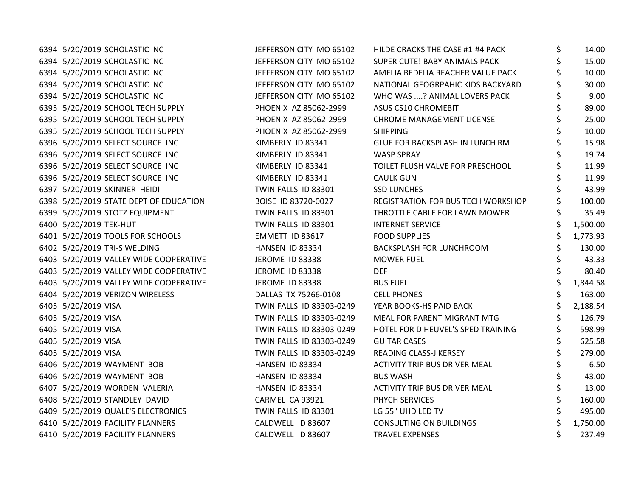| 6394 5/20/2019 SCHOLASTIC INC          | JEFFERSON CITY MO 65102  | HILDE CRACKS THE CASE #1-#4 PACK     | \$ | 14.00    |
|----------------------------------------|--------------------------|--------------------------------------|----|----------|
| 6394 5/20/2019 SCHOLASTIC INC          | JEFFERSON CITY MO 65102  | SUPER CUTE! BABY ANIMALS PACK        |    | 15.00    |
| 6394 5/20/2019 SCHOLASTIC INC          | JEFFERSON CITY MO 65102  | AMELIA BEDELIA REACHER VALUE PACK    |    | 10.00    |
| 6394 5/20/2019 SCHOLASTIC INC          | JEFFERSON CITY MO 65102  | NATIONAL GEOGRPAHIC KIDS BACKYARD    |    | 30.00    |
| 6394 5/20/2019 SCHOLASTIC INC          | JEFFERSON CITY MO 65102  | WHO WAS ? ANIMAL LOVERS PACK         |    | 9.00     |
| 6395 5/20/2019 SCHOOL TECH SUPPLY      | PHOENIX AZ 85062-2999    | ASUS CS10 CHROMEBIT                  |    | 89.00    |
| 6395 5/20/2019 SCHOOL TECH SUPPLY      | PHOENIX AZ 85062-2999    | CHROME MANAGEMENT LICENSE            |    | 25.00    |
| 6395 5/20/2019 SCHOOL TECH SUPPLY      | PHOENIX AZ 85062-2999    | <b>SHIPPING</b>                      |    | 10.00    |
| 6396 5/20/2019 SELECT SOURCE INC       | KIMBERLY ID 83341        | GLUE FOR BACKSPLASH IN LUNCH RM      |    | 15.98    |
| 6396 5/20/2019 SELECT SOURCE INC       | KIMBERLY ID 83341        | <b>WASP SPRAY</b>                    |    | 19.74    |
| 6396 5/20/2019 SELECT SOURCE INC       | KIMBERLY ID 83341        | TOILET FLUSH VALVE FOR PRESCHOOL     |    | 11.99    |
| 6396 5/20/2019 SELECT SOURCE INC       | KIMBERLY ID 83341        | <b>CAULK GUN</b>                     |    | 11.99    |
| 6397 5/20/2019 SKINNER HEIDI           | TWIN FALLS ID 83301      | <b>SSD LUNCHES</b>                   | Ś  | 43.99    |
| 6398 5/20/2019 STATE DEPT OF EDUCATION | BOISE ID 83720-0027      | REGISTRATION FOR BUS TECH WORKSHOP   |    | 100.00   |
| 6399 5/20/2019 STOTZ EQUIPMENT         | TWIN FALLS ID 83301      | THROTTLE CABLE FOR LAWN MOWER        |    | 35.49    |
| 6400 5/20/2019 TEK-HUT                 | TWIN FALLS ID 83301      | <b>INTERNET SERVICE</b>              |    | 1,500.00 |
| 6401 5/20/2019 TOOLS FOR SCHOOLS       | EMMETT ID 83617          | <b>FOOD SUPPLIES</b>                 |    | 1,773.93 |
| 6402 5/20/2019 TRI-S WELDING           | HANSEN ID 83334          | <b>BACKSPLASH FOR LUNCHROOM</b>      |    | 130.00   |
| 6403 5/20/2019 VALLEY WIDE COOPERATIVE | <b>JEROME ID 83338</b>   | <b>MOWER FUEL</b>                    |    | 43.33    |
| 6403 5/20/2019 VALLEY WIDE COOPERATIVE | JEROME ID 83338          | <b>DEF</b>                           |    | 80.40    |
| 6403 5/20/2019 VALLEY WIDE COOPERATIVE | JEROME ID 83338          | <b>BUS FUEL</b>                      |    | 1,844.58 |
| 6404 5/20/2019 VERIZON WIRELESS        | DALLAS TX 75266-0108     | <b>CELL PHONES</b>                   |    | 163.00   |
| 6405 5/20/2019 VISA                    | TWIN FALLS ID 83303-0249 | YEAR BOOKS-HS PAID BACK              | \$ | 2,188.54 |
| 6405 5/20/2019 VISA                    | TWIN FALLS ID 83303-0249 | MEAL FOR PARENT MIGRANT MTG          |    | 126.79   |
| 6405 5/20/2019 VISA                    | TWIN FALLS ID 83303-0249 | HOTEL FOR D HEUVEL'S SPED TRAINING   | \$ | 598.99   |
| 6405 5/20/2019 VISA                    | TWIN FALLS ID 83303-0249 | <b>GUITAR CASES</b>                  |    | 625.58   |
| 6405 5/20/2019 VISA                    | TWIN FALLS ID 83303-0249 | READING CLASS-J KERSEY               |    | 279.00   |
| 6406 5/20/2019 WAYMENT BOB             | HANSEN ID 83334          | <b>ACTIVITY TRIP BUS DRIVER MEAL</b> | \$ | 6.50     |
| 6406 5/20/2019 WAYMENT BOB             | HANSEN ID 83334          | <b>BUS WASH</b>                      | \$ | 43.00    |
| 6407 5/20/2019 WORDEN VALERIA          | HANSEN ID 83334          | ACTIVITY TRIP BUS DRIVER MEAL        |    | 13.00    |
| 6408 5/20/2019 STANDLEY DAVID          | CARMEL CA 93921          | PHYCH SERVICES                       |    | 160.00   |
| 6409 5/20/2019 QUALE'S ELECTRONICS     | TWIN FALLS ID 83301      | LG 55" UHD LED TV                    |    | 495.00   |
| 6410 5/20/2019 FACILITY PLANNERS       | CALDWELL ID 83607        | <b>CONSULTING ON BUILDINGS</b>       |    | 1,750.00 |
| 6410 5/20/2019 FACILITY PLANNERS       | CALDWELL ID 83607        | <b>TRAVEL EXPENSES</b>               | \$ | 237.49   |